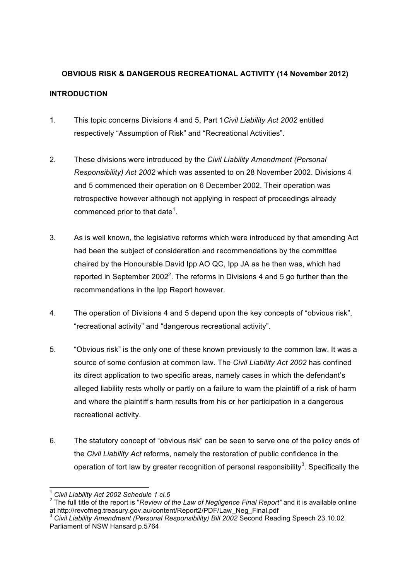# **OBVIOUS RISK & DANGEROUS RECREATIONAL ACTIVITY (14 November 2012) INTRODUCTION**

- 1. This topic concerns Divisions 4 and 5, Part 1*Civil Liability Act 2002* entitled respectively "Assumption of Risk" and "Recreational Activities".
- 2. These divisions were introduced by the *Civil Liability Amendment (Personal Responsibility) Act 2002* which was assented to on 28 November 2002. Divisions 4 and 5 commenced their operation on 6 December 2002. Their operation was retrospective however although not applying in respect of proceedings already commenced prior to that date<sup>1</sup>.
- 3. As is well known, the legislative reforms which were introduced by that amending Act had been the subject of consideration and recommendations by the committee chaired by the Honourable David Ipp AO QC, Ipp JA as he then was, which had reported in September 2002<sup>2</sup>. The reforms in Divisions 4 and 5 go further than the recommendations in the Ipp Report however.
- 4. The operation of Divisions 4 and 5 depend upon the key concepts of "obvious risk", "recreational activity" and "dangerous recreational activity".
- 5. "Obvious risk" is the only one of these known previously to the common law. It was a source of some confusion at common law. The *Civil Liability Act 2002* has confined its direct application to two specific areas, namely cases in which the defendant's alleged liability rests wholly or partly on a failure to warn the plaintiff of a risk of harm and where the plaintiff's harm results from his or her participation in a dangerous recreational activity.
- 6. The statutory concept of "obvious risk" can be seen to serve one of the policy ends of the *Civil Liability Act* reforms, namely the restoration of public confidence in the operation of tort law by greater recognition of personal responsibility<sup>3</sup>. Specifically the

 <sup>1</sup> *Civil Liability Act 2002 Schedule 1 cl.6*

<sup>&</sup>lt;sup>2</sup> The full title of the report is "*Review of the Law of Negligence Final Report"* and it is available online at http://revofneg.treasury.gov.au/content/Report2/PDF/Law Neg Final.pdf

at http://revolution.<br>activit Liability Amendment (Personal Responsibility) Bill 2002 Second Reading Speech 23.10.02 Parliament of NSW Hansard p.5764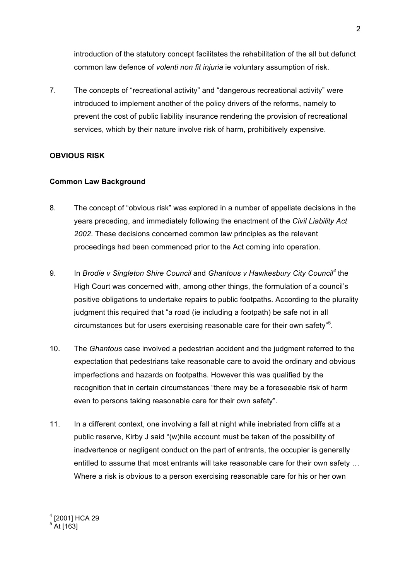introduction of the statutory concept facilitates the rehabilitation of the all but defunct common law defence of *volenti non fit injuria* ie voluntary assumption of risk.

7. The concepts of "recreational activity" and "dangerous recreational activity" were introduced to implement another of the policy drivers of the reforms, namely to prevent the cost of public liability insurance rendering the provision of recreational services, which by their nature involve risk of harm, prohibitively expensive.

# **OBVIOUS RISK**

### **Common Law Background**

- 8. The concept of "obvious risk" was explored in a number of appellate decisions in the years preceding, and immediately following the enactment of the *Civil Liability Act 2002*. These decisions concerned common law principles as the relevant proceedings had been commenced prior to the Act coming into operation.
- 9. In *Brodie v Singleton Shire Council* and *Ghantous v Hawkesbury City Council<sup>4</sup>* the High Court was concerned with, among other things, the formulation of a council's positive obligations to undertake repairs to public footpaths. According to the plurality judgment this required that "a road (ie including a footpath) be safe not in all circumstances but for users exercising reasonable care for their own safety"<sup>5</sup>.
- 10. The *Ghantous* case involved a pedestrian accident and the judgment referred to the expectation that pedestrians take reasonable care to avoid the ordinary and obvious imperfections and hazards on footpaths. However this was qualified by the recognition that in certain circumstances "there may be a foreseeable risk of harm even to persons taking reasonable care for their own safety".
- 11. In a different context, one involving a fall at night while inebriated from cliffs at a public reserve, Kirby J said "(w)hile account must be taken of the possibility of inadvertence or negligent conduct on the part of entrants, the occupier is generally entitled to assume that most entrants will take reasonable care for their own safety … Where a risk is obvious to a person exercising reasonable care for his or her own

 $\frac{4}{12001}$  HCA 29

<sup>&</sup>lt;sup>5</sup> At [163]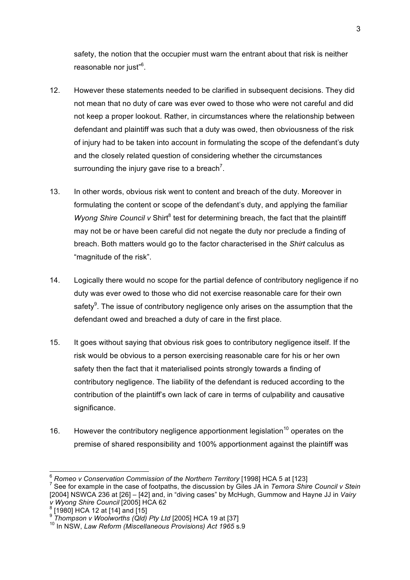safety, the notion that the occupier must warn the entrant about that risk is neither reasonable nor just"<sup>6</sup>.

- 12. However these statements needed to be clarified in subsequent decisions. They did not mean that no duty of care was ever owed to those who were not careful and did not keep a proper lookout. Rather, in circumstances where the relationship between defendant and plaintiff was such that a duty was owed, then obviousness of the risk of injury had to be taken into account in formulating the scope of the defendant's duty and the closely related question of considering whether the circumstances surrounding the injury gave rise to a breach<sup>7</sup>.
- 13. In other words, obvious risk went to content and breach of the duty. Moreover in formulating the content or scope of the defendant's duty, and applying the familiar *Wyong Shire Council v Shirt<sup>8</sup>* test for determining breach, the fact that the plaintiff may not be or have been careful did not negate the duty nor preclude a finding of breach. Both matters would go to the factor characterised in the *Shirt* calculus as "magnitude of the risk".
- 14. Logically there would no scope for the partial defence of contributory negligence if no duty was ever owed to those who did not exercise reasonable care for their own safety $9$ . The issue of contributory negligence only arises on the assumption that the defendant owed and breached a duty of care in the first place.
- 15. It goes without saying that obvious risk goes to contributory negligence itself. If the risk would be obvious to a person exercising reasonable care for his or her own safety then the fact that it materialised points strongly towards a finding of contributory negligence. The liability of the defendant is reduced according to the contribution of the plaintiff's own lack of care in terms of culpability and causative significance.
- 16. However the contributory negligence apportionment legislation<sup>10</sup> operates on the premise of shared responsibility and 100% apportionment against the plaintiff was

<sup>&</sup>lt;sup>6</sup> *Romeo v Conservation Commission of the Northern Territory* [1998] HCA 5 at [123]<br><sup>7</sup> See for example in the case of footpaths, the discussion by Giles JA in *Temora Shire Council v Stein* [2004] NSWCA 236 at [26] – [42] and, in "diving cases" by McHugh, Gummow and Hayne JJ in *Vairy v Wyong Shire Council* [2005] HCA 62<br><sup>8</sup> [1980] HCA 12 at [14] and [15]<br><sup>9</sup> Thompson v Woolworths (Qld) Pty Ltd [2005] HCA 19 at [37]

<sup>&</sup>lt;sup>10</sup> In NSW, Law Reform (Miscellaneous Provisions) Act 1965 s.9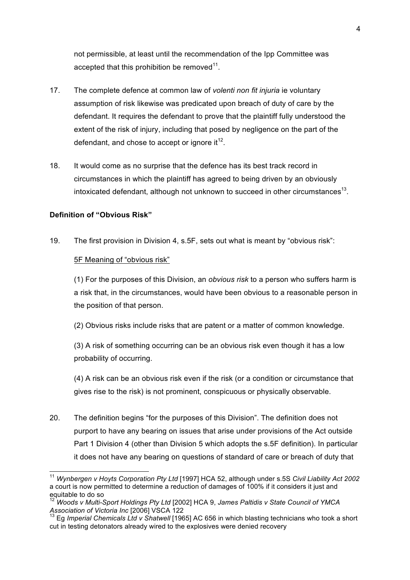not permissible, at least until the recommendation of the Ipp Committee was accepted that this prohibition be removed<sup>11</sup>.

- 17. The complete defence at common law of *volenti non fit injuria* ie voluntary assumption of risk likewise was predicated upon breach of duty of care by the defendant. It requires the defendant to prove that the plaintiff fully understood the extent of the risk of injury, including that posed by negligence on the part of the defendant, and chose to accept or ignore it  $12$ .
- 18. It would come as no surprise that the defence has its best track record in circumstances in which the plaintiff has agreed to being driven by an obviously intoxicated defendant, although not unknown to succeed in other circumstances<sup>13</sup>.

#### **Definition of "Obvious Risk"**

19. The first provision in Division 4, s.5F, sets out what is meant by "obvious risk":

#### 5F Meaning of "obvious risk"

(1) For the purposes of this Division, an *obvious risk* to a person who suffers harm is a risk that, in the circumstances, would have been obvious to a reasonable person in the position of that person.

(2) Obvious risks include risks that are patent or a matter of common knowledge.

(3) A risk of something occurring can be an obvious risk even though it has a low probability of occurring.

(4) A risk can be an obvious risk even if the risk (or a condition or circumstance that gives rise to the risk) is not prominent, conspicuous or physically observable.

20. The definition begins "for the purposes of this Division". The definition does not purport to have any bearing on issues that arise under provisions of the Act outside Part 1 Division 4 (other than Division 5 which adopts the s.5F definition). In particular it does not have any bearing on questions of standard of care or breach of duty that

 <sup>11</sup> *Wynbergen v Hoyts Corporation Pty Ltd* [1997] HCA 52, although under s.5S *Civil Liability Act 2002*  a court is now permitted to determine a reduction of damages of 100% if it considers it just and equitable to do so

<sup>12</sup> *Woods v Multi-Sport Holdings Pty Ltd* [2002] HCA 9, *James Paltidis v State Council of YMCA* 

<sup>&</sup>lt;sup>13</sup> Eg *Imperial Chemicals Ltd v Shatwell* [1965] AC 656 in which blasting technicians who took a short cut in testing detonators already wired to the explosives were denied recovery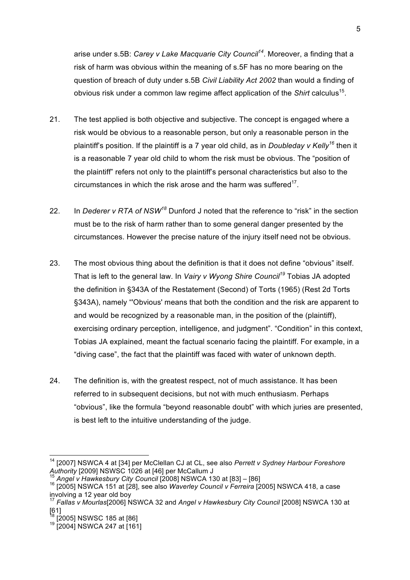arise under s.5B: *Carey v Lake Macquarie City Council<sup>14</sup>*. Moreover, a finding that a risk of harm was obvious within the meaning of s.5F has no more bearing on the question of breach of duty under s.5B *Civil Liability Act 2002* than would a finding of obvious risk under a common law regime affect application of the *Shirt* calculus15.

- 21. The test applied is both objective and subjective. The concept is engaged where a risk would be obvious to a reasonable person, but only a reasonable person in the plaintiff's position. If the plaintiff is a 7 year old child, as in *Doubleday v Kelly<sup>16</sup>* then it is a reasonable 7 year old child to whom the risk must be obvious. The "position of the plaintiff" refers not only to the plaintiff's personal characteristics but also to the circumstances in which the risk arose and the harm was suffered $17$ .
- 22. In *Dederer v RTA of NSW<sup>18</sup>* Dunford J noted that the reference to "risk" in the section must be to the risk of harm rather than to some general danger presented by the circumstances. However the precise nature of the injury itself need not be obvious.
- 23. The most obvious thing about the definition is that it does not define "obvious" itself. That is left to the general law. In *Vairy v Wyong Shire Council<sup>19</sup>* Tobias JA adopted the definition in §343A of the Restatement (Second) of Torts (1965) (Rest 2d Torts §343A), namely "'Obvious' means that both the condition and the risk are apparent to and would be recognized by a reasonable man, in the position of the (plaintiff), exercising ordinary perception, intelligence, and judgment". "Condition" in this context, Tobias JA explained, meant the factual scenario facing the plaintiff. For example, in a "diving case", the fact that the plaintiff was faced with water of unknown depth.
- 24. The definition is, with the greatest respect, not of much assistance. It has been referred to in subsequent decisions, but not with much enthusiasm. Perhaps "obvious", like the formula "beyond reasonable doubt" with which juries are presented, is best left to the intuitive understanding of the judge.

<sup>&</sup>lt;sup>14</sup> [2007] NSWCA 4 at [34] per McClellan CJ at CL, see also *Perrett v Sydney Harbour Foreshore*<br>Authority [2009] NSWSC 1026 at [46] per McCallum J

<sup>&</sup>lt;sup>15</sup> Angel v Hawkesbury City Council [2008] NSWCA 130 at  $[83] - [86]$ <br><sup>16</sup> [2005] NSWCA 151 at [28], see also *Waverley Council v Ferreira* [2005] NSWCA 418, a case involving a 12 year old boy

<sup>17</sup> *Fallas v Mourlas*[2006] NSWCA 32 and *Angel v Hawkesbury City Council* [2008] NSWCA 130 at [61]<br><sup>18</sup> [2005] NSWSC 185 at [86]

 $19$  [2005] NSWCA 247 at [161]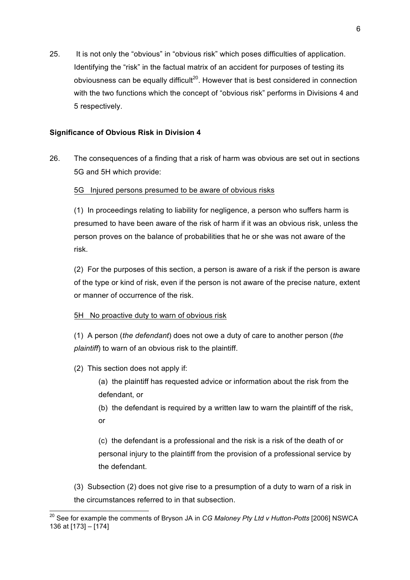25. It is not only the "obvious" in "obvious risk" which poses difficulties of application. Identifying the "risk" in the factual matrix of an accident for purposes of testing its obviousness can be equally difficult<sup>20</sup>. However that is best considered in connection with the two functions which the concept of "obvious risk" performs in Divisions 4 and 5 respectively.

# **Significance of Obvious Risk in Division 4**

26. The consequences of a finding that a risk of harm was obvious are set out in sections 5G and 5H which provide:

### 5G Injured persons presumed to be aware of obvious risks

(1) In proceedings relating to liability for negligence, a person who suffers harm is presumed to have been aware of the risk of harm if it was an obvious risk, unless the person proves on the balance of probabilities that he or she was not aware of the risk.

(2) For the purposes of this section, a person is aware of a risk if the person is aware of the type or kind of risk, even if the person is not aware of the precise nature, extent or manner of occurrence of the risk.

### 5H No proactive duty to warn of obvious risk

(1) A person (*the defendant*) does not owe a duty of care to another person (*the plaintiff*) to warn of an obvious risk to the plaintiff.

# (2) This section does not apply if:

(a) the plaintiff has requested advice or information about the risk from the defendant, or

(b) the defendant is required by a written law to warn the plaintiff of the risk, or

(c) the defendant is a professional and the risk is a risk of the death of or personal injury to the plaintiff from the provision of a professional service by the defendant.

(3) Subsection (2) does not give rise to a presumption of a duty to warn of a risk in the circumstances referred to in that subsection.

 <sup>20</sup> See for example the comments of Bryson JA in *CG Maloney Pty Ltd v Hutton-Potts* [2006] NSWCA 136 at [173] – [174]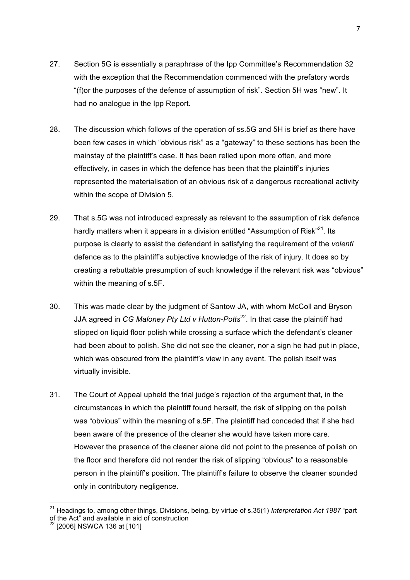- 27. Section 5G is essentially a paraphrase of the Ipp Committee's Recommendation 32 with the exception that the Recommendation commenced with the prefatory words "(f)or the purposes of the defence of assumption of risk". Section 5H was "new". It had no analogue in the Ipp Report.
- 28. The discussion which follows of the operation of ss.5G and 5H is brief as there have been few cases in which "obvious risk" as a "gateway" to these sections has been the mainstay of the plaintiff's case. It has been relied upon more often, and more effectively, in cases in which the defence has been that the plaintiff's injuries represented the materialisation of an obvious risk of a dangerous recreational activity within the scope of Division 5.
- 29. That s.5G was not introduced expressly as relevant to the assumption of risk defence hardly matters when it appears in a division entitled "Assumption of Risk"<sup>21</sup>. Its purpose is clearly to assist the defendant in satisfying the requirement of the *volenti*  defence as to the plaintiff's subjective knowledge of the risk of injury. It does so by creating a rebuttable presumption of such knowledge if the relevant risk was "obvious" within the meaning of s.5F.
- 30. This was made clear by the judgment of Santow JA, with whom McColl and Bryson JJA agreed in *CG Maloney Pty Ltd v Hutton-Potts*22. In that case the plaintiff had slipped on liquid floor polish while crossing a surface which the defendant's cleaner had been about to polish. She did not see the cleaner, nor a sign he had put in place, which was obscured from the plaintiff's view in any event. The polish itself was virtually invisible.
- 31. The Court of Appeal upheld the trial judge's rejection of the argument that, in the circumstances in which the plaintiff found herself, the risk of slipping on the polish was "obvious" within the meaning of s.5F. The plaintiff had conceded that if she had been aware of the presence of the cleaner she would have taken more care. However the presence of the cleaner alone did not point to the presence of polish on the floor and therefore did not render the risk of slipping "obvious" to a reasonable person in the plaintiff's position. The plaintiff's failure to observe the cleaner sounded only in contributory negligence.

 <sup>21</sup> Headings to, among other things, Divisions, being, by virtue of s.35(1) *Interpretation Act 1987* "part of the Act" and available in aid of construction

<sup>&</sup>lt;sup>22</sup> [2006] NSWCA 136 at [101]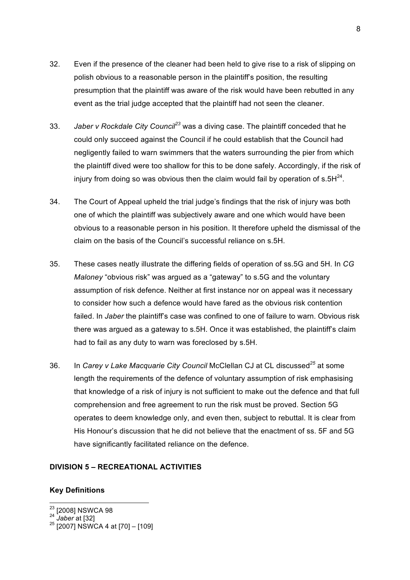- 32. Even if the presence of the cleaner had been held to give rise to a risk of slipping on polish obvious to a reasonable person in the plaintiff's position, the resulting presumption that the plaintiff was aware of the risk would have been rebutted in any event as the trial judge accepted that the plaintiff had not seen the cleaner.
- 33. *Jaber v Rockdale City Council<sup>23</sup>* was a diving case. The plaintiff conceded that he could only succeed against the Council if he could establish that the Council had negligently failed to warn swimmers that the waters surrounding the pier from which the plaintiff dived were too shallow for this to be done safely. Accordingly, if the risk of injury from doing so was obvious then the claim would fail by operation of  $s.5H^{24}$ .
- 34. The Court of Appeal upheld the trial judge's findings that the risk of injury was both one of which the plaintiff was subjectively aware and one which would have been obvious to a reasonable person in his position. It therefore upheld the dismissal of the claim on the basis of the Council's successful reliance on s.5H.
- 35. These cases neatly illustrate the differing fields of operation of ss.5G and 5H. In *CG Maloney* "obvious risk" was argued as a "gateway" to s.5G and the voluntary assumption of risk defence. Neither at first instance nor on appeal was it necessary to consider how such a defence would have fared as the obvious risk contention failed. In *Jaber* the plaintiff's case was confined to one of failure to warn. Obvious risk there was argued as a gateway to s.5H. Once it was established, the plaintiff's claim had to fail as any duty to warn was foreclosed by s.5H.
- 36. In *Carey v Lake Macquarie City Council* McClellan CJ at CL discussed*<sup>25</sup>* at some length the requirements of the defence of voluntary assumption of risk emphasising that knowledge of a risk of injury is not sufficient to make out the defence and that full comprehension and free agreement to run the risk must be proved. Section 5G operates to deem knowledge only, and even then, subject to rebuttal. It is clear from His Honour's discussion that he did not believe that the enactment of ss. 5F and 5G have significantly facilitated reliance on the defence.

# **DIVISION 5 – RECREATIONAL ACTIVITIES**

#### **Key Definitions**

<sup>&</sup>lt;sup>23</sup> [2008] NSWCA 98<br><sup>24</sup> *Jaber* at [32]<br><sup>25</sup> [2007] NSWCA 4 at [70] – [109]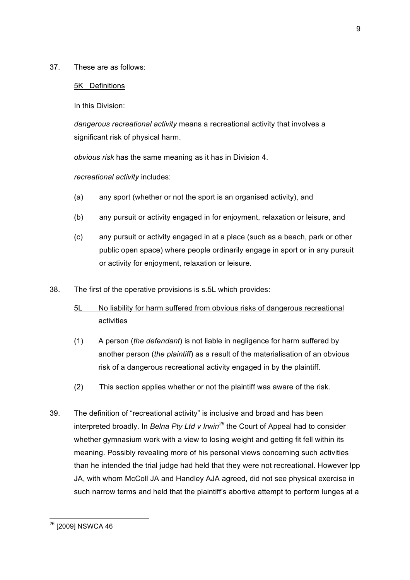37. These are as follows:

#### 5K Definitions

In this Division:

*dangerous recreational activity* means a recreational activity that involves a significant risk of physical harm.

*obvious risk* has the same meaning as it has in Division 4.

*recreational activity* includes:

- (a) any sport (whether or not the sport is an organised activity), and
- (b) any pursuit or activity engaged in for enjoyment, relaxation or leisure, and
- (c) any pursuit or activity engaged in at a place (such as a beach, park or other public open space) where people ordinarily engage in sport or in any pursuit or activity for enjoyment, relaxation or leisure.
- 38. The first of the operative provisions is s.5L which provides:
	- 5L No liability for harm suffered from obvious risks of dangerous recreational activities
	- (1) A person (*the defendant*) is not liable in negligence for harm suffered by another person (*the plaintiff*) as a result of the materialisation of an obvious risk of a dangerous recreational activity engaged in by the plaintiff.
	- (2) This section applies whether or not the plaintiff was aware of the risk.
- 39. The definition of "recreational activity" is inclusive and broad and has been interpreted broadly. In *Belna Pty Ltd v Irwin<sup>26</sup>* the Court of Appeal had to consider whether gymnasium work with a view to losing weight and getting fit fell within its meaning. Possibly revealing more of his personal views concerning such activities than he intended the trial judge had held that they were not recreational. However Ipp JA, with whom McColl JA and Handley AJA agreed, did not see physical exercise in such narrow terms and held that the plaintiff's abortive attempt to perform lunges at a

<sup>&</sup>lt;sup>26</sup> [2009] NSWCA 46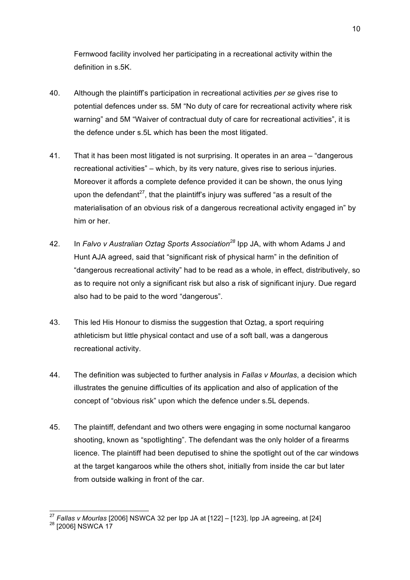Fernwood facility involved her participating in a recreational activity within the definition in s.5K.

- 40. Although the plaintiff's participation in recreational activities *per se* gives rise to potential defences under ss. 5M "No duty of care for recreational activity where risk warning" and 5M "Waiver of contractual duty of care for recreational activities", it is the defence under s.5L which has been the most litigated.
- 41. That it has been most litigated is not surprising. It operates in an area "dangerous recreational activities" – which, by its very nature, gives rise to serious injuries. Moreover it affords a complete defence provided it can be shown, the onus lying upon the defendant<sup>27</sup>, that the plaintiff's injury was suffered "as a result of the materialisation of an obvious risk of a dangerous recreational activity engaged in" by him or her.
- 42. In *Falvo v Australian Oztag Sports Association<sup>28</sup>* Ipp JA, with whom Adams J and Hunt AJA agreed, said that "significant risk of physical harm" in the definition of "dangerous recreational activity" had to be read as a whole, in effect, distributively, so as to require not only a significant risk but also a risk of significant injury. Due regard also had to be paid to the word "dangerous".
- 43. This led His Honour to dismiss the suggestion that Oztag, a sport requiring athleticism but little physical contact and use of a soft ball, was a dangerous recreational activity.
- 44. The definition was subjected to further analysis in *Fallas v Mourlas*, a decision which illustrates the genuine difficulties of its application and also of application of the concept of "obvious risk" upon which the defence under s.5L depends.
- 45. The plaintiff, defendant and two others were engaging in some nocturnal kangaroo shooting, known as "spotlighting". The defendant was the only holder of a firearms licence. The plaintiff had been deputised to shine the spotlight out of the car windows at the target kangaroos while the others shot, initially from inside the car but later from outside walking in front of the car.

<sup>&</sup>lt;sup>27</sup> *Fallas v Mourlas* [2006] NSWCA 32 per Ipp JA at [122] – [123], Ipp JA agreeing, at [24] <sup>28</sup> [2006] NSWCA 17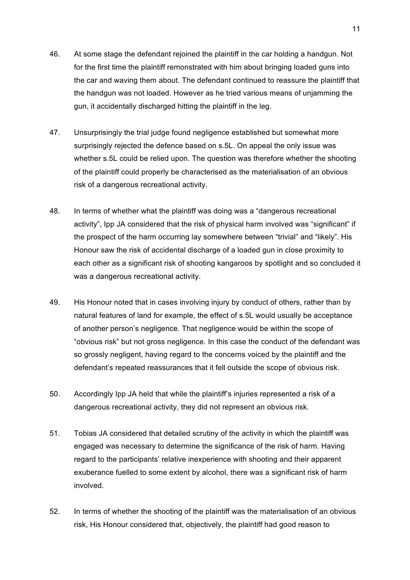- 46. At some stage the defendant rejoined the plaintiff in the car holding a handgun. Not for the first time the plaintiff remonstrated with him about bringing loaded guns into the car and waving them about. The defendant continued to reassure the plaintiff that the handgun was not loaded. However as he tried various means of unjamming the gun, it accidentally discharged hitting the plaintiff in the leg.
- 47. Unsurprisingly the trial judge found negligence established but somewhat more surprisingly rejected the defence based on s.5L. On appeal the only issue was whether s.5L could be relied upon. The question was therefore whether the shooting of the plaintiff could properly be characterised as the materialisation of an obvious risk of a dangerous recreational activity.
- 48. In terms of whether what the plaintiff was doing was a "dangerous recreational activity", Ipp JA considered that the risk of physical harm involved was "significant" if the prospect of the harm occurring lay somewhere between "trivial" and "likely". His Honour saw the risk of accidental discharge of a loaded gun in close proximity to each other as a significant risk of shooting kangaroos by spotlight and so concluded it was a dangerous recreational activity.
- 49. His Honour noted that in cases involving injury by conduct of others, rather than by natural features of land for example, the effect of s.5L would usually be acceptance of another person's negligence. That negligence would be within the scope of "obvious risk" but not gross negligence. In this case the conduct of the defendant was so grossly negligent, having regard to the concerns voiced by the plaintiff and the defendant's repeated reassurances that it fell outside the scope of obvious risk.
- 50. Accordingly Ipp JA held that while the plaintiff's injuries represented a risk of a dangerous recreational activity, they did not represent an obvious risk.
- 51. Tobias JA considered that detailed scrutiny of the activity in which the plaintiff was engaged was necessary to determine the significance of the risk of harm. Having regard to the participants' relative inexperience with shooting and their apparent exuberance fuelled to some extent by alcohol, there was a significant risk of harm involved.
- 52. In terms of whether the shooting of the plaintiff was the materialisation of an obvious risk, His Honour considered that, objectively, the plaintiff had good reason to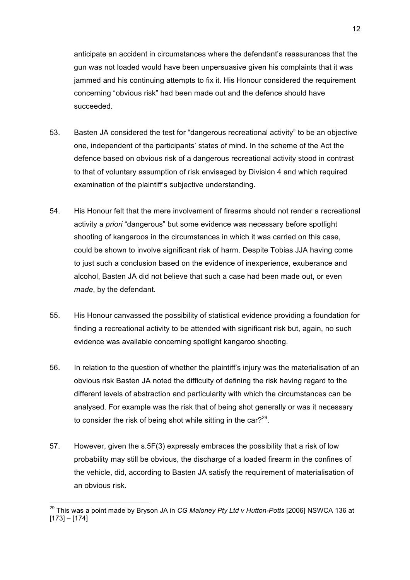anticipate an accident in circumstances where the defendant's reassurances that the gun was not loaded would have been unpersuasive given his complaints that it was jammed and his continuing attempts to fix it. His Honour considered the requirement concerning "obvious risk" had been made out and the defence should have succeeded.

- 53. Basten JA considered the test for "dangerous recreational activity" to be an objective one, independent of the participants' states of mind. In the scheme of the Act the defence based on obvious risk of a dangerous recreational activity stood in contrast to that of voluntary assumption of risk envisaged by Division 4 and which required examination of the plaintiff's subjective understanding.
- 54. His Honour felt that the mere involvement of firearms should not render a recreational activity *a priori* "dangerous" but some evidence was necessary before spotlight shooting of kangaroos in the circumstances in which it was carried on this case, could be shown to involve significant risk of harm. Despite Tobias JJA having come to just such a conclusion based on the evidence of inexperience, exuberance and alcohol, Basten JA did not believe that such a case had been made out, or even *made*, by the defendant.
- 55. His Honour canvassed the possibility of statistical evidence providing a foundation for finding a recreational activity to be attended with significant risk but, again, no such evidence was available concerning spotlight kangaroo shooting.
- 56. In relation to the question of whether the plaintiff's injury was the materialisation of an obvious risk Basten JA noted the difficulty of defining the risk having regard to the different levels of abstraction and particularity with which the circumstances can be analysed. For example was the risk that of being shot generally or was it necessary to consider the risk of being shot while sitting in the car? $29$ .
- 57. However, given the s.5F(3) expressly embraces the possibility that a risk of low probability may still be obvious, the discharge of a loaded firearm in the confines of the vehicle, did, according to Basten JA satisfy the requirement of materialisation of an obvious risk.

 <sup>29</sup> This was a point made by Bryson JA in *CG Maloney Pty Ltd v Hutton-Potts* [2006] NSWCA 136 at [173] – [174]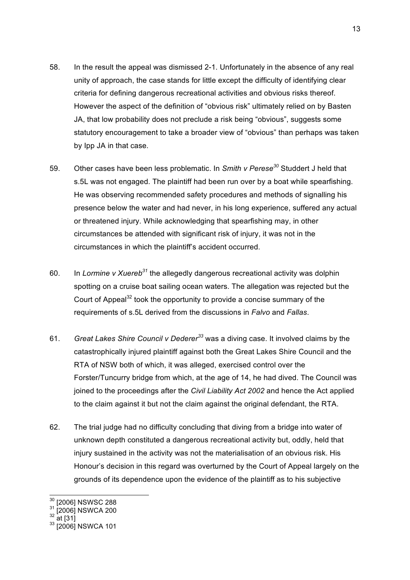- 58. In the result the appeal was dismissed 2-1. Unfortunately in the absence of any real unity of approach, the case stands for little except the difficulty of identifying clear criteria for defining dangerous recreational activities and obvious risks thereof. However the aspect of the definition of "obvious risk" ultimately relied on by Basten JA, that low probability does not preclude a risk being "obvious", suggests some statutory encouragement to take a broader view of "obvious" than perhaps was taken by Ipp JA in that case.
- 59. Other cases have been less problematic. In *Smith v Perese<sup>30</sup>* Studdert J held that s.5L was not engaged. The plaintiff had been run over by a boat while spearfishing. He was observing recommended safety procedures and methods of signalling his presence below the water and had never, in his long experience, suffered any actual or threatened injury. While acknowledging that spearfishing may, in other circumstances be attended with significant risk of injury, it was not in the circumstances in which the plaintiff's accident occurred.
- 60. In *Lormine v Xuereb31* the allegedly dangerous recreational activity was dolphin spotting on a cruise boat sailing ocean waters. The allegation was rejected but the Court of Appeal<sup>32</sup> took the opportunity to provide a concise summary of the requirements of s.5L derived from the discussions in *Falvo* and *Fallas*.
- 61. *Great Lakes Shire Council v Dederer<sup>33</sup>* was a diving case. It involved claims by the catastrophically injured plaintiff against both the Great Lakes Shire Council and the RTA of NSW both of which, it was alleged, exercised control over the Forster/Tuncurry bridge from which, at the age of 14, he had dived. The Council was joined to the proceedings after the *Civil Liability Act 2002* and hence the Act applied to the claim against it but not the claim against the original defendant, the RTA.
- 62. The trial judge had no difficulty concluding that diving from a bridge into water of unknown depth constituted a dangerous recreational activity but, oddly, held that injury sustained in the activity was not the materialisation of an obvious risk. His Honour's decision in this regard was overturned by the Court of Appeal largely on the grounds of its dependence upon the evidence of the plaintiff as to his subjective

 $\frac{30}{31}$  [2006] NSWSC 288<br> $\frac{31}{32}$  [2006] NSWCA 200<br> $\frac{32}{33}$  [2006] NSWCA 101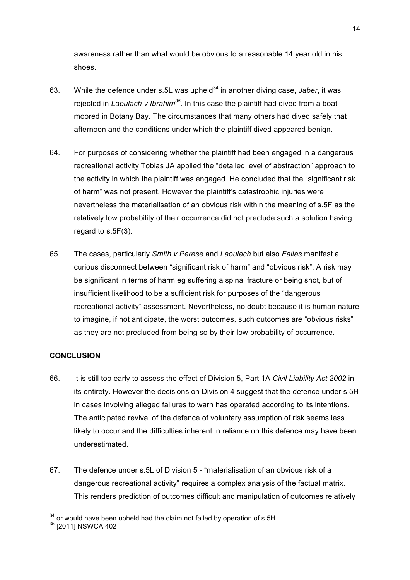awareness rather than what would be obvious to a reasonable 14 year old in his shoes.

- 63. While the defence under s.5L was upheld<sup>34</sup> in another diving case, *Jaber*, it was rejected in *Laoulach v Ibrahim35.* In this case the plaintiff had dived from a boat moored in Botany Bay. The circumstances that many others had dived safely that afternoon and the conditions under which the plaintiff dived appeared benign.
- 64. For purposes of considering whether the plaintiff had been engaged in a dangerous recreational activity Tobias JA applied the "detailed level of abstraction" approach to the activity in which the plaintiff was engaged. He concluded that the "significant risk of harm" was not present. However the plaintiff's catastrophic injuries were nevertheless the materialisation of an obvious risk within the meaning of s.5F as the relatively low probability of their occurrence did not preclude such a solution having regard to s.5F(3).
- 65. The cases, particularly *Smith v Perese* and *Laoulach* but also *Fallas* manifest a curious disconnect between "significant risk of harm" and "obvious risk". A risk may be significant in terms of harm eg suffering a spinal fracture or being shot, but of insufficient likelihood to be a sufficient risk for purposes of the "dangerous recreational activity" assessment. Nevertheless, no doubt because it is human nature to imagine, if not anticipate, the worst outcomes, such outcomes are "obvious risks" as they are not precluded from being so by their low probability of occurrence.

### **CONCLUSION**

- 66. It is still too early to assess the effect of Division 5, Part 1A *Civil Liability Act 2002* in its entirety. However the decisions on Division 4 suggest that the defence under s.5H in cases involving alleged failures to warn has operated according to its intentions. The anticipated revival of the defence of voluntary assumption of risk seems less likely to occur and the difficulties inherent in reliance on this defence may have been underestimated.
- 67. The defence under s.5L of Division 5 "materialisation of an obvious risk of a dangerous recreational activity" requires a complex analysis of the factual matrix. This renders prediction of outcomes difficult and manipulation of outcomes relatively

 $34$  or would have been upheld had the claim not failed by operation of s.5H.  $35$  [2011] NSWCA 402